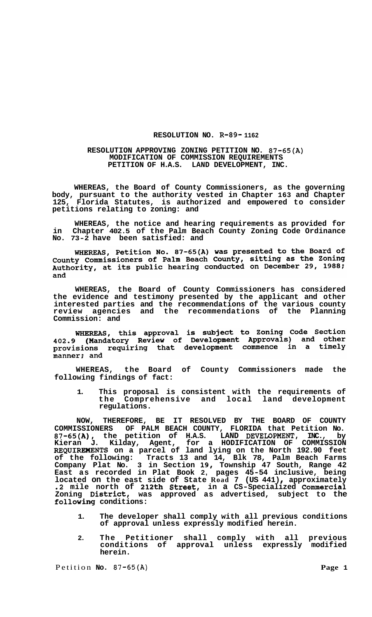## **RESOLUTION NO. R-89- 1162**

## **RESOLUTION APPROVING ZONING PETITION NO. 87-65(A) MODIFICATION OF COMMISSION REQUIREMENTS PETITION OF H.A.S. LAND DEVELOPMENT, INC.**

**WHEREAS, the Board of County Commissioners, as the governing body, pursuant to the authority vested in Chapter 163 and Chapter 125, Florida Statutes, is authorized and empowered to consider petitions relating to zoning: and** 

**WHEREAS, the notice and hearing requirements as provided for in Chapter 402.5 of the Palm Beach County Zoning Code Ordinance No. 73-2 have been satisfied: and** 

WHEREAS, Petition No. 87-65(A) was presented to the Board of<br>County Commissioners of Palm Beach County, sitting as the Zoning<br>Authority, at its public hearing conducted on December 29, 1988; and

**WHEREAS, the Board of County Commissioners has considered the evidence and testimony presented by the applicant and other interested parties and the recommendations of the various county review agencies and the recommendations of the Planning Commission: and** 

WHEREAS, this approval is subject to Zoning Code Section<br>402.9 (Mandatory Review of Development Approvals) and other provisions requiring that development commence in a timely manner; and

**WHEREAS, the Board of County Commissioners made the following findings of fact:** 

**1. This proposal is consistent with the requirements of the Comprehensive and local land development regulations.** 

**NOW, THEREFORE, BE IT RESOLVED BY THE BOARD OF COUNTY COMMISSIONERS OF PALM BEACH COUNTY, FLORIDA that Petition No. 87-65(A), the petition of H.A.S. LAND DEVEIOPMENT, INC., by Kieran J. Kilday, Agent, for a HODIFICATION OF COMMISSION REQUIRElIENTS on a parcel of land lying on the North 192.90 feet of the following: Tracts 13 and 14, Blk 78, Palm Beach Farms**  Company Plat No. 3 in Section 19, Township 47 South, Range 42 **East as recorded in Plat Book 2, pages 45-54 inclusive, being**  located on the east side of State Road 7 (US 441), approximately **.2 mile north of 212th Street, in a CS-Specialized Commercial Zoning District, was approved as advertised, subject to the following conditions:** 

- **1. The developer shall comply with all previous conditions of approval unless expressly modified herein.**
- **2. The Petitioner shall comply with all previous conditions of approval unless expressly modified herein.**